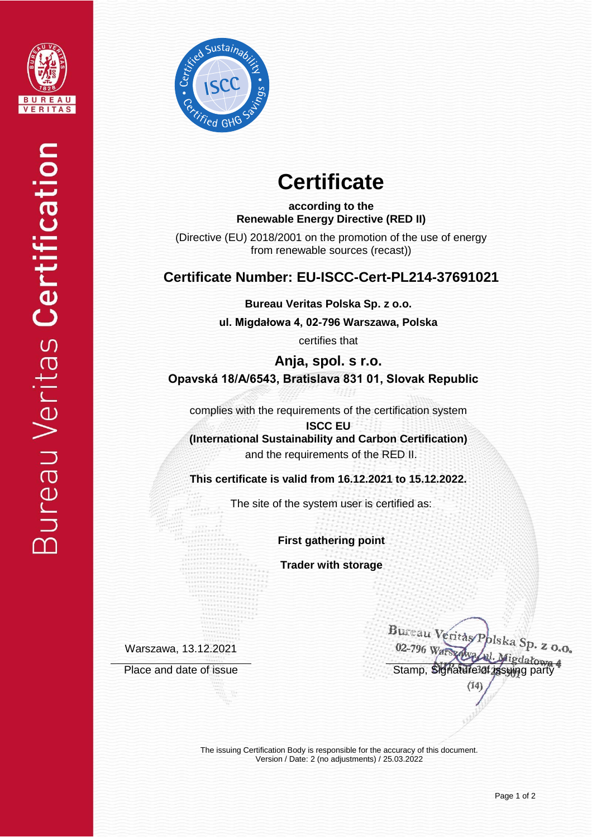



# **Certificate**

**according to the Renewable Energy Directive (RED II)**

(Directive (EU) 2018/2001 on the promotion of the use of energy from renewable sources (recast))

## **Certificate Number: EU-ISCC-Cert-PL214-37691021**

**Bureau Veritas Polska Sp. z o.o.**

**ul. Migdałowa 4, 02-796 Warszawa, Polska** 

certifies that

**Anja, spol. s r.o. Opavská 18/A/6543, Bratislava 831 01, Slovak Republic**

complies with the requirements of the certification system

**ISCC EU (International Sustainability and Carbon Certification)** and the requirements of the RED II.

**This certificate is valid from 16.12.2021 to 15.12.2022.**

The site of the system user is certified as:

**First gathering point**

**Trader with storage**

Warszawa, 13.12.2021

Bureau Veritas Polska Sp. z o.o. 02-796 Wars Place and date of issue Stamp, Signature of issue Stamp, Signature of issuing party  $(14)$ 

The issuing Certification Body is responsible for the accuracy of this document. Version / Date: 2 (no adjustments) / 25.03.2022